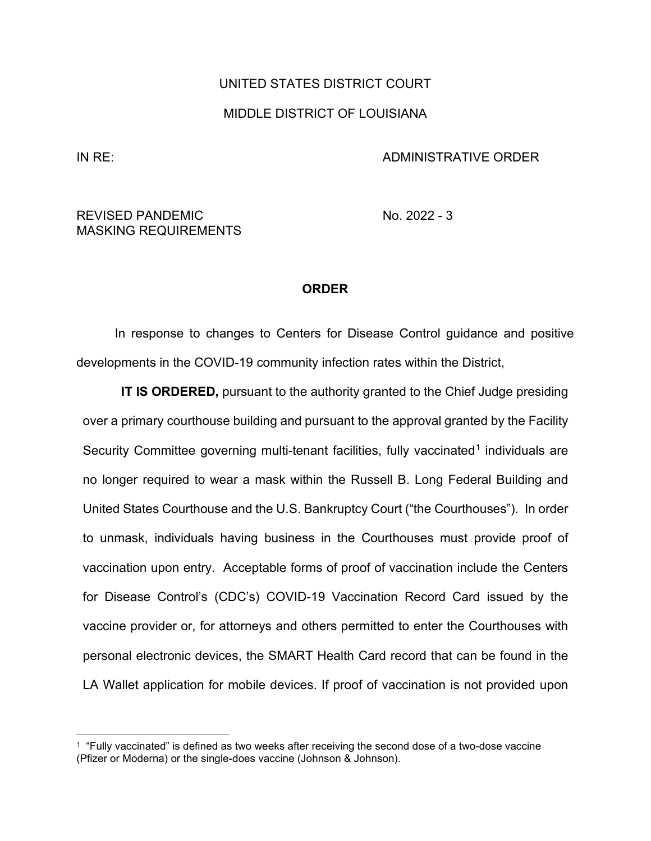## UNITED STATES DISTRICT COURT MIDDLE DISTRICT OF LOUISIANA

## IN RE: ADMINISTRATIVE ORDER

## REVISED PANDEMIC No. 2022 - 3 MASKING REQUIREMENTS

## **ORDER**

In response to changes to Centers for Disease Control guidance and positive developments in the COVID-19 community infection rates within the District,

**IT IS ORDERED,** pursuant to the authority granted to the Chief Judge presiding over a primary courthouse building and pursuant to the approval granted by the Facility Security Committee governing multi-tenant facilities, fully vaccinated<sup>1</sup> individuals are no longer required to wear a mask within the Russell B. Long Federal Building and United States Courthouse and the U.S. Bankruptcy Court ("the Courthouses"). In order to unmask, individuals having business in the Courthouses must provide proof of vaccination upon entry. Acceptable forms of proof of vaccination include the Centers for Disease Control's (CDC's) COVID-19 Vaccination Record Card issued by the vaccine provider or, for attorneys and others permitted to enter the Courthouses with personal electronic devices, the SMART Health Card record that can be found in the LA Wallet application for mobile devices. If proof of vaccination is not provided upon

<span id="page-0-0"></span><sup>1 &</sup>quot;Fully vaccinated" is defined as two weeks after receiving the second dose of a two-dose vaccine (Pfizer or Moderna) or the single-does vaccine (Johnson & Johnson).